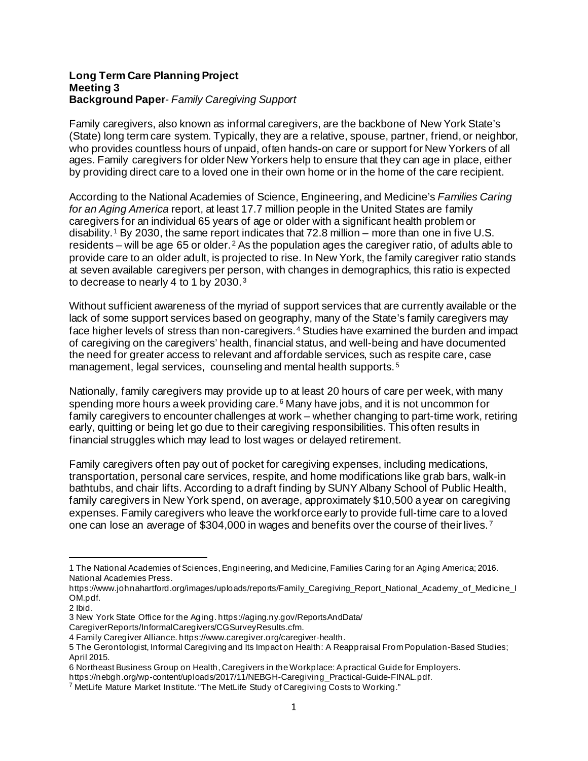#### **Long Term Care Planning Project Meeting 3 Background Paper***- Family Caregiving Support*

Family caregivers, also known as informal caregivers, are the backbone of New York State's (State) long term care system. Typically, they are a relative, spouse, partner, friend, or neighbor, who provides countless hours of unpaid, often hands-on care or support for New Yorkers of all ages. Family caregivers for older New Yorkers help to ensure that they can age in place, either by providing direct care to a loved one in their own home or in the home of the care recipient.

According to the National Academies of Science, Engineering, and Medicine's *Families Caring for an Aging America* report, at least 17.7 million people in the United States are family caregivers for an individual 65 years of age or older with a significant health problem or disability.<sup>[1](#page-0-0)</sup> By 2030, the same report indicates that 72.8 million – more than one in five U.S. residents – will be age 65 or older.<sup>[2](#page-0-1)</sup> As the population ages the caregiver ratio, of adults able to provide care to an older adult, is projected to rise. In New York, the family caregiver ratio stands at seven available caregivers per person, with changes in demographics, this ratio is expected to decrease to nearly 4 to 1 by 2030.[3](#page-0-2)

Without sufficient awareness of the myriad of support services that are currently available or the lack of some support services based on geography, many of the State's family caregivers may face higher levels of stress than non-caregivers.<sup>[4](#page-0-3)</sup> Studies have examined the burden and impact of caregiving on the caregivers' health, financial status, and well-being and have documented the need for greater access to relevant and affordable services, such as respite care, case management, legal services, counseling and mental health supports.<sup>[5](#page-0-4)</sup>

Nationally, family caregivers may provide up to at least 20 hours of care per week, with many spending more hours a week providing care. $6$  Many have jobs, and it is not uncommon for family caregivers to encounter challenges at work – whether changing to part-time work, retiring early, quitting or being let go due to their caregiving responsibilities. This often results in financial struggles which may lead to lost wages or delayed retirement.

Family caregivers often pay out of pocket for caregiving expenses, including medications, transportation, personal care services, respite, and home modifications like grab bars, walk-in bathtubs, and chair lifts. According to a draft finding by SUNY Albany School of Public Health, family caregivers in New York spend, on average, approximately \$10,500 a year on caregiving expenses. Family caregivers who leave the workforce early to provide full-time care to a loved one can lose an average of \$304,000 in wages and benefits over the course of their lives. [7](#page-0-6)

<span id="page-0-0"></span><sup>1</sup> The National Academies of Sciences, Engineering, and Medicine, Families Caring for an Aging America; 2016. National Academies Press.

https://www.johnahartford.org/images/uploads/reports/Family\_Caregiving\_Report\_National\_Academy\_of\_Medicine\_I OM.pdf.

<span id="page-0-1"></span><sup>2</sup> Ibid.

<span id="page-0-2"></span><sup>3</sup> New York State Office for the Aging. https://aging.ny.gov/ReportsAndData/

CaregiverReports/InformalCaregivers/CGSurveyResults.cfm.

<span id="page-0-3"></span><sup>4</sup> Family Caregiver Alliance. https://www.caregiver.org/caregiver-health.

<span id="page-0-4"></span><sup>5</sup> The Gerontologist, Informal Caregiving and Its Impact on Health: A Reappraisal From Population-Based Studies; April 2015.

<span id="page-0-5"></span><sup>6</sup> Northeast Business Group on Health, Caregivers in the Workplace: A practical Guide for Employers.

https://nebgh.org/wp-content/uploads/2017/11/NEBGH-Caregiving\_Practical-Guide-FINAL.pdf.

<span id="page-0-6"></span> $7$  MetLife Mature Market Institute. "The MetLife Study of Caregiving Costs to Working."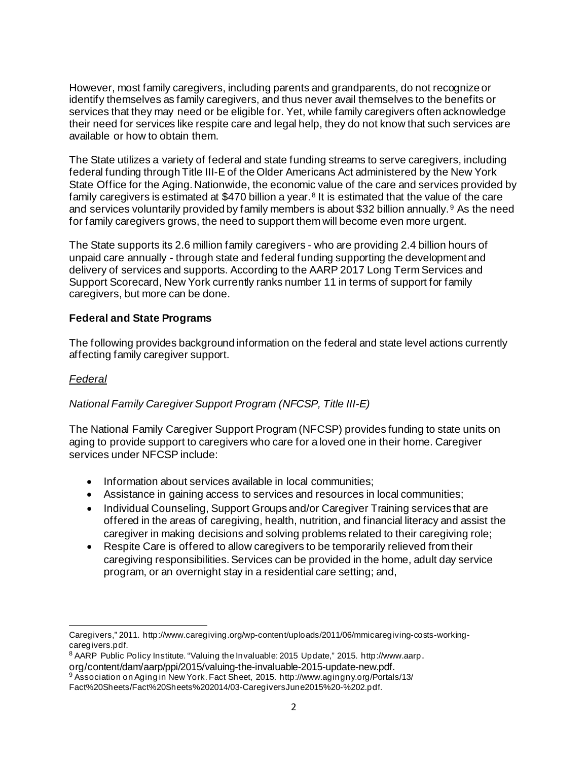However, most family caregivers, including parents and grandparents, do not recognize or identify themselves as family caregivers, and thus never avail themselves to the benefits or services that they may need or be eligible for. Yet, while family caregivers often acknowledge their need for services like respite care and legal help, they do not know that such services are available or how to obtain them.

The State utilizes a variety of federal and state funding streams to serve caregivers, including federal funding through Title III-E of the Older Americans Act administered by the New York State Office for the Aging. Nationwide, the economic value of the care and services provided by family caregivers is estimated at \$470 billion a year.<sup>[8](#page-1-0)</sup> It is estimated that the value of the care and services voluntarily provided by family members is about \$32 billion annually. [9](#page-1-1) As the need for family caregivers grows, the need to support them will become even more urgent.

The State supports its 2.6 million family caregivers - who are providing 2.4 billion hours of unpaid care annually - through state and federal funding supporting the development and delivery of services and supports. According to the AARP 2017 Long Term Services and Support Scorecard, New York currently ranks number 11 in terms of support for family caregivers, but more can be done.

# **Federal and State Programs**

The following provides background information on the federal and state level actions currently affecting family caregiver support.

# *Federal*

# *National Family Caregiver Support Program (NFCSP, Title III-E)*

The National Family Caregiver Support Program (NFCSP) provides funding to state units on aging to provide support to caregivers who care for a loved one in their home. Caregiver services under NFCSP include:

- Information about services available in local communities;
- Assistance in gaining access to services and resources in local communities;
- Individual Counseling, Support Groups and/or Caregiver Training services that are offered in the areas of caregiving, health, nutrition, and financial literacy and assist the caregiver in making decisions and solving problems related to their caregiving role;
- Respite Care is offered to allow caregivers to be temporarily relieved from their caregiving responsibilities. Services can be provided in the home, adult day service program, or an overnight stay in a residential care setting; and,

Caregivers," 2011. http://www.caregiving.org/wp-content/uploads/2011/06/mmicaregiving-costs-workingcaregivers.pdf.

<span id="page-1-0"></span><sup>8</sup> AARP Public Policy Institute. "Valuing the Invaluable: 2015 Update," 2015. http://www.aarp.

org/content/dam/aarp/ppi/2015/valuing-the-invaluable-2015-update-new.pdf.

<span id="page-1-1"></span><sup>9</sup> Association on Aging in New York. Fact Sheet, 2015. http://www.agingny.org/Portals/13/

Fact%20Sheets/Fact%20Sheets%202014/03-CaregiversJune2015%20-%202.pdf.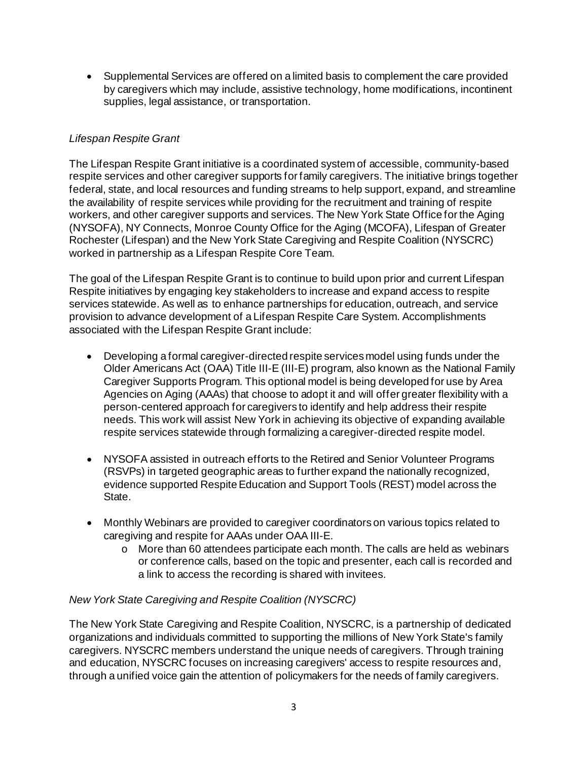• Supplemental Services are offered on a limited basis to complement the care provided by caregivers which may include, assistive technology, home modifications, incontinent supplies, legal assistance, or transportation.

# *Lifespan Respite Grant*

The Lifespan Respite Grant initiative is a coordinated system of accessible, community-based respite services and other caregiver supports for family caregivers. The initiative brings together federal, state, and local resources and funding streams to help support, expand, and streamline the availability of respite services while providing for the recruitment and training of respite workers, and other caregiver supports and services. The New York State Office for the Aging (NYSOFA), NY Connects, Monroe County Office for the Aging (MCOFA), Lifespan of Greater Rochester (Lifespan) and the New York State Caregiving and Respite Coalition (NYSCRC) worked in partnership as a Lifespan Respite Core Team.

The goal of the Lifespan Respite Grant is to continue to build upon prior and current Lifespan Respite initiatives by engaging key stakeholders to increase and expand access to respite services statewide. As well as to enhance partnerships for education, outreach, and service provision to advance development of a Lifespan Respite Care System. Accomplishments associated with the Lifespan Respite Grant include:

- Developing a formal caregiver-directed respite services model using funds under the Older Americans Act (OAA) Title III-E (III-E) program, also known as the National Family Caregiver Supports Program. This optional model is being developed for use by Area Agencies on Aging (AAAs) that choose to adopt it and will offer greater flexibility with a person-centered approach for caregivers to identify and help address their respite needs. This work will assist New York in achieving its objective of expanding available respite services statewide through formalizing a caregiver-directed respite model.
- NYSOFA assisted in outreach efforts to the Retired and Senior Volunteer Programs (RSVPs) in targeted geographic areas to further expand the nationally recognized, evidence supported Respite Education and Support Tools (REST) model across the State.
- Monthly Webinars are provided to caregiver coordinators on various topics related to caregiving and respite for AAAs under OAA III-E.
	- o More than 60 attendees participate each month. The calls are held as webinars or conference calls, based on the topic and presenter, each call is recorded and a link to access the recording is shared with invitees.

# *New York State Caregiving and Respite Coalition (NYSCRC)*

The New York State Caregiving and Respite Coalition, NYSCRC, is a partnership of dedicated organizations and individuals committed to supporting the millions of New York State's family caregivers. NYSCRC members understand the unique needs of caregivers. Through training and education, NYSCRC focuses on increasing caregivers' access to respite resources and, through a unified voice gain the attention of policymakers for the needs of family caregivers.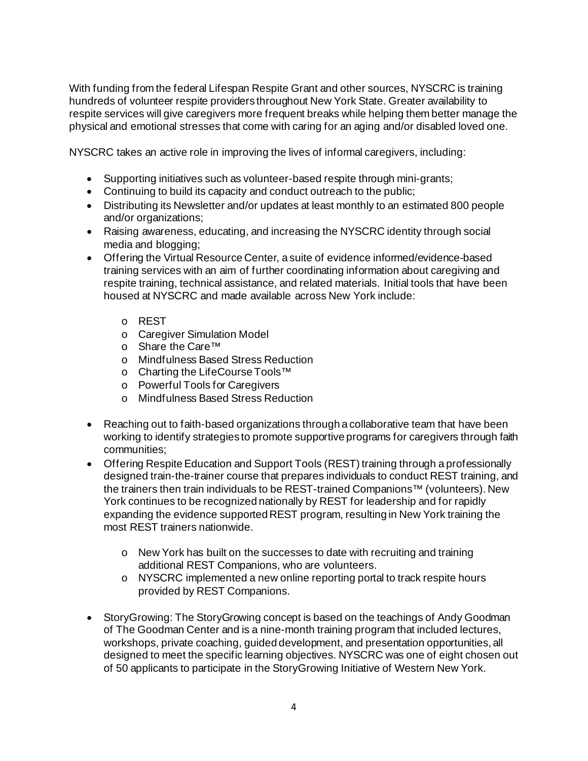With funding from the federal Lifespan Respite Grant and other sources, NYSCRC is training hundreds of volunteer respite providers throughout New York State. Greater availability to respite services will give caregivers more frequent breaks while helping them better manage the physical and emotional stresses that come with caring for an aging and/or disabled loved one.

NYSCRC takes an active role in improving the lives of informal caregivers, including:

- Supporting initiatives such as volunteer-based respite through mini-grants;
- Continuing to build its capacity and conduct outreach to the public;
- Distributing its Newsletter and/or updates at least monthly to an estimated 800 people and/or organizations;
- Raising awareness, educating, and increasing the NYSCRC identity through social media and blogging;
- Offering the Virtual Resource Center, a suite of evidence informed/evidence-based training services with an aim of further coordinating information about caregiving and respite training, technical assistance, and related materials. Initial tools that have been housed at NYSCRC and made available across New York include:
	- o REST
	- o Caregiver Simulation Model
	- o Share the Care™
	- o Mindfulness Based Stress Reduction
	- o Charting the LifeCourse Tools™
	- o Powerful Tools for Caregivers
	- o Mindfulness Based Stress Reduction
- Reaching out to faith-based organizations through a collaborative team that have been working to identify strategies to promote supportive programs for caregivers through faith communities;
- Offering Respite Education and Support Tools (REST) training through a professionally designed train-the-trainer course that prepares individuals to conduct REST training, and the trainers then train individuals to be REST-trained Companions™ (volunteers). New York continues to be recognized nationally by REST for leadership and for rapidly expanding the evidence supported REST program, resulting in New York training the most REST trainers nationwide.
	- $\circ$  New York has built on the successes to date with recruiting and training additional REST Companions, who are volunteers.
	- o NYSCRC implemented a new online reporting portal to track respite hours provided by REST Companions.
- StoryGrowing: The StoryGrowing concept is based on the teachings of Andy Goodman of The Goodman Center and is a nine-month training program that included lectures, workshops, private coaching, guided development, and presentation opportunities, all designed to meet the specific learning objectives. NYSCRC was one of eight chosen out of 50 applicants to participate in the StoryGrowing Initiative of Western New York.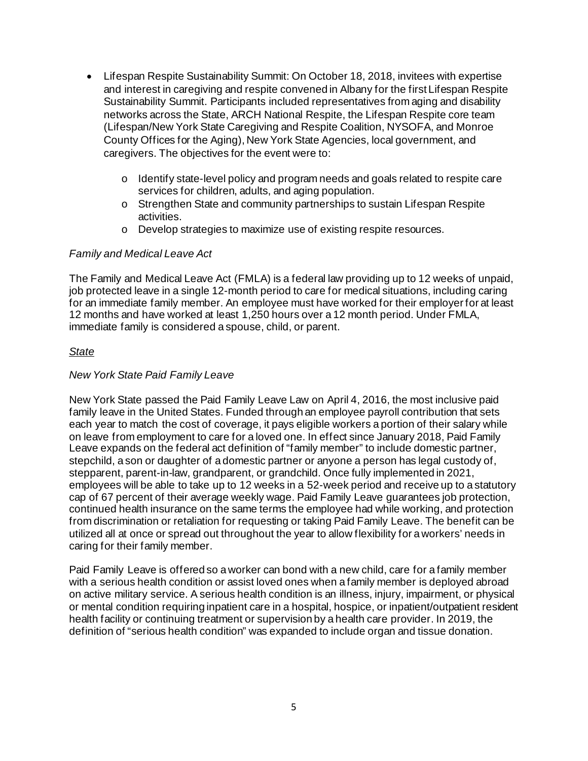- Lifespan Respite Sustainability Summit: On October 18, 2018, invitees with expertise and interest in caregiving and respite convened in Albany for the first Lifespan Respite Sustainability Summit. Participants included representatives from aging and disability networks across the State, ARCH National Respite, the Lifespan Respite core team (Lifespan/New York State Caregiving and Respite Coalition, NYSOFA, and Monroe County Offices for the Aging), New York State Agencies, local government, and caregivers. The objectives for the event were to:
	- o Identify state-level policy and program needs and goals related to respite care services for children, adults, and aging population.
	- o Strengthen State and community partnerships to sustain Lifespan Respite activities.
	- o Develop strategies to maximize use of existing respite resources.

#### *Family and Medical Leave Act*

The Family and Medical Leave Act (FMLA) is a federal law providing up to 12 weeks of unpaid, job protected leave in a single 12-month period to care for medical situations, including caring for an immediate family member. An employee must have worked for their employer for at least 12 months and have worked at least 1,250 hours over a 12 month period. Under FMLA, immediate family is considered a spouse, child, or parent.

### *State*

#### *New York State Paid Family Leave*

New York State passed the Paid Family Leave Law on April 4, 2016, the most inclusive paid family leave in the United States. Funded through an employee payroll contribution that sets each year to match the cost of coverage, it pays eligible workers a portion of their salary while on leave from employment to care for a loved one. In effect since January 2018, Paid Family Leave expands on the federal act definition of "family member" to include domestic partner, stepchild, a son or daughter of a domestic partner or anyone a person has legal custody of, stepparent, parent-in-law, grandparent, or grandchild. Once fully implemented in 2021, employees will be able to take up to 12 weeks in a 52-week period and receive up to a statutory cap of 67 percent of their average weekly wage. Paid Family Leave guarantees job protection, continued health insurance on the same terms the employee had while working, and protection from discrimination or retaliation for requesting or taking Paid Family Leave. The benefit can be utilized all at once or spread out throughout the year to allow flexibility for a workers' needs in caring for their family member.

Paid Family Leave is offered so a worker can bond with a new child, care for a family member with a serious health condition or assist loved ones when a family member is deployed abroad on active military service. A serious health condition is an illness, injury, impairment, or physical or mental condition requiring inpatient care in a hospital, hospice, or inpatient/outpatient resident health facility or continuing treatment or supervision by a health care provider. In 2019, the definition of "serious health condition" was expanded to include organ and tissue donation.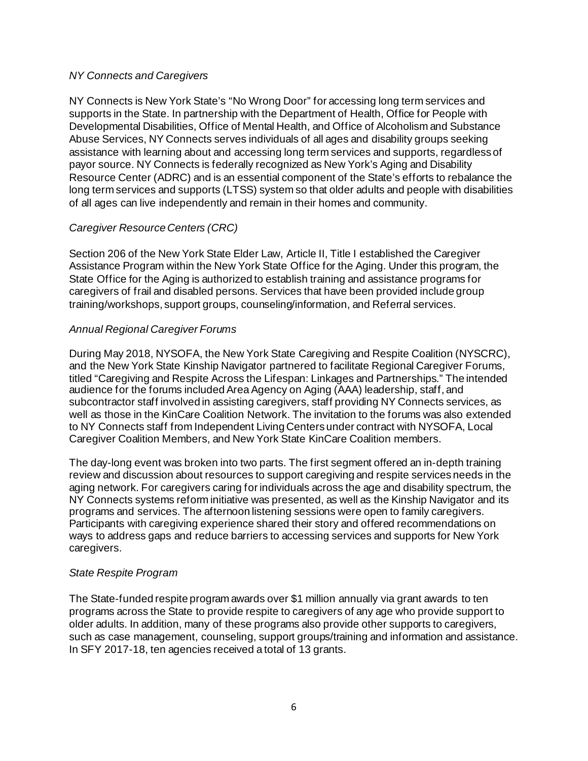## *NY Connects and Caregivers*

NY Connects is New York State's "No Wrong Door" for accessing long term services and supports in the State. In partnership with the Department of Health, Office for People with Developmental Disabilities, Office of Mental Health, and Office of Alcoholism and Substance Abuse Services, NY Connects serves individuals of all ages and disability groups seeking assistance with learning about and accessing long term services and supports, regardless of payor source. NY Connects is federally recognized as New York's Aging and Disability Resource Center (ADRC) and is an essential component of the State's efforts to rebalance the long term services and supports (LTSS) system so that older adults and people with disabilities of all ages can live independently and remain in their homes and community.

# *Caregiver Resource Centers (CRC)*

Section 206 of the New York State Elder Law, Article II, Title I established the Caregiver Assistance Program within the New York State Office for the Aging. Under this program, the State Office for the Aging is authorized to establish training and assistance programs for caregivers of frail and disabled persons. Services that have been provided include group training/workshops, support groups, counseling/information, and Referral services.

# *Annual Regional Caregiver Forums*

During May 2018, NYSOFA, the New York State Caregiving and Respite Coalition (NYSCRC), and the New York State Kinship Navigator partnered to facilitate Regional Caregiver Forums, titled "Caregiving and Respite Across the Lifespan: Linkages and Partnerships." The intended audience for the forums included Area Agency on Aging (AAA) leadership, staff, and subcontractor staff involved in assisting caregivers, staff providing NY Connects services, as well as those in the KinCare Coalition Network. The invitation to the forums was also extended to NY Connects staff from Independent Living Centers under contract with NYSOFA, Local Caregiver Coalition Members, and New York State KinCare Coalition members.

The day-long event was broken into two parts. The first segment offered an in-depth training review and discussion about resources to support caregiving and respite services needs in the aging network. For caregivers caring for individuals across the age and disability spectrum, the NY Connects systems reform initiative was presented, as well as the Kinship Navigator and its programs and services. The afternoon listening sessions were open to family caregivers. Participants with caregiving experience shared their story and offered recommendations on ways to address gaps and reduce barriers to accessing services and supports for New York caregivers.

### *State Respite Program*

The State-funded respite program awards over \$1 million annually via grant awards to ten programs across the State to provide respite to caregivers of any age who provide support to older adults. In addition, many of these programs also provide other supports to caregivers, such as case management, counseling, support groups/training and information and assistance. In SFY 2017-18, ten agencies received a total of 13 grants.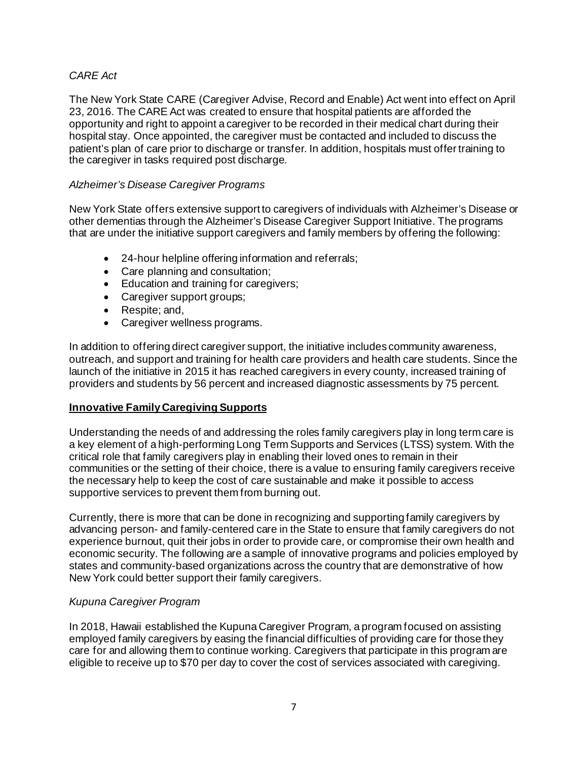# *CARE Act*

The New York State CARE (Caregiver Advise, Record and Enable) Act went into effect on April 23, 2016. The CARE Act was created to ensure that hospital patients are afforded the opportunity and right to appoint a caregiver to be recorded in their medical chart during their hospital stay. Once appointed, the caregiver must be contacted and included to discuss the patient's plan of care prior to discharge or transfer. In addition, hospitals must offer training to the caregiver in tasks required post discharge.

## *Alzheimer's Disease Caregiver Programs*

New York State offers extensive support to caregivers of individuals with Alzheimer's Disease or other dementias through the Alzheimer's Disease Caregiver Support Initiative. The programs that are under the initiative support caregivers and family members by offering the following:

- 24-hour helpline offering information and referrals;
- Care planning and consultation;
- Education and training for caregivers;
- Caregiver support groups;
- Respite; and,
- Caregiver wellness programs.

In addition to offering direct caregiver support, the initiative includes community awareness, outreach, and support and training for health care providers and health care students. Since the launch of the initiative in 2015 it has reached caregivers in every county, increased training of providers and students by 56 percent and increased diagnostic assessments by 75 percent.

### **Innovative Family Caregiving Supports**

Understanding the needs of and addressing the roles family caregivers play in long term care is a key element of a high-performing Long Term Supports and Services (LTSS) system. With the critical role that family caregivers play in enabling their loved ones to remain in their communities or the setting of their choice, there is a value to ensuring family caregivers receive the necessary help to keep the cost of care sustainable and make it possible to access supportive services to prevent them from burning out.

Currently, there is more that can be done in recognizing and supporting family caregivers by advancing person- and family-centered care in the State to ensure that family caregivers do not experience burnout, quit their jobs in order to provide care, or compromise their own health and economic security. The following are a sample of innovative programs and policies employed by states and community-based organizations across the country that are demonstrative of how New York could better support their family caregivers.

### *Kupuna Caregiver Program*

In 2018, Hawaii established the Kupuna Caregiver Program, a program focused on assisting employed family caregivers by easing the financial difficulties of providing care for those they care for and allowing them to continue working. Caregivers that participate in this program are eligible to receive up to \$70 per day to cover the cost of services associated with caregiving.